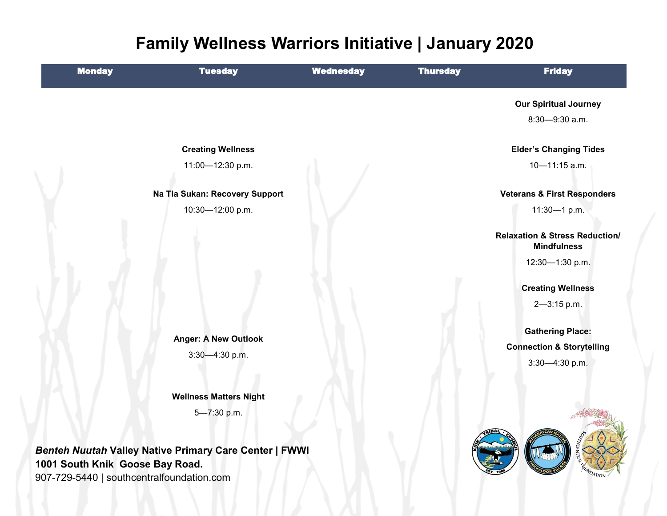# **Family Wellness Warriors Initiative | January 2020**

| <b>Monday</b> | <b>Tuesday</b>                                         | <b>Wednesday</b> | <b>Thursday</b> | <b>Friday</b>                                                   |
|---------------|--------------------------------------------------------|------------------|-----------------|-----------------------------------------------------------------|
|               |                                                        |                  |                 | <b>Our Spiritual Journey</b>                                    |
|               |                                                        |                  |                 | 8:30-9:30 a.m.                                                  |
|               | <b>Creating Wellness</b>                               |                  |                 | <b>Elder's Changing Tides</b>                                   |
|               | 11:00-12:30 p.m.                                       |                  |                 | 10-11:15 a.m.                                                   |
|               | Na Tia Sukan: Recovery Support                         |                  |                 | <b>Veterans &amp; First Responders</b>                          |
|               | 10:30-12:00 p.m.                                       |                  |                 | 11:30-1 p.m.                                                    |
|               |                                                        |                  |                 | <b>Relaxation &amp; Stress Reduction/</b><br><b>Mindfulness</b> |
|               |                                                        |                  |                 | 12:30-1:30 p.m.                                                 |
|               |                                                        |                  |                 | <b>Creating Wellness</b>                                        |
|               |                                                        |                  |                 | 2-3:15 p.m.                                                     |
|               |                                                        |                  |                 | <b>Gathering Place:</b>                                         |
|               | <b>Anger: A New Outlook</b>                            |                  |                 | <b>Connection &amp; Storytelling</b>                            |
|               | 3:30-4:30 p.m.                                         |                  |                 | 3:30-4:30 p.m.                                                  |
|               |                                                        |                  |                 |                                                                 |
|               | <b>Wellness Matters Night</b>                          |                  |                 |                                                                 |
|               | 5-7:30 p.m.                                            |                  |                 |                                                                 |
|               | Benteh Nuutah Valley Native Primary Care Center   FWWI |                  |                 |                                                                 |

**1001 South Knik Goose Bay Road.** 907-729-5440 | southcentralfoundation.com